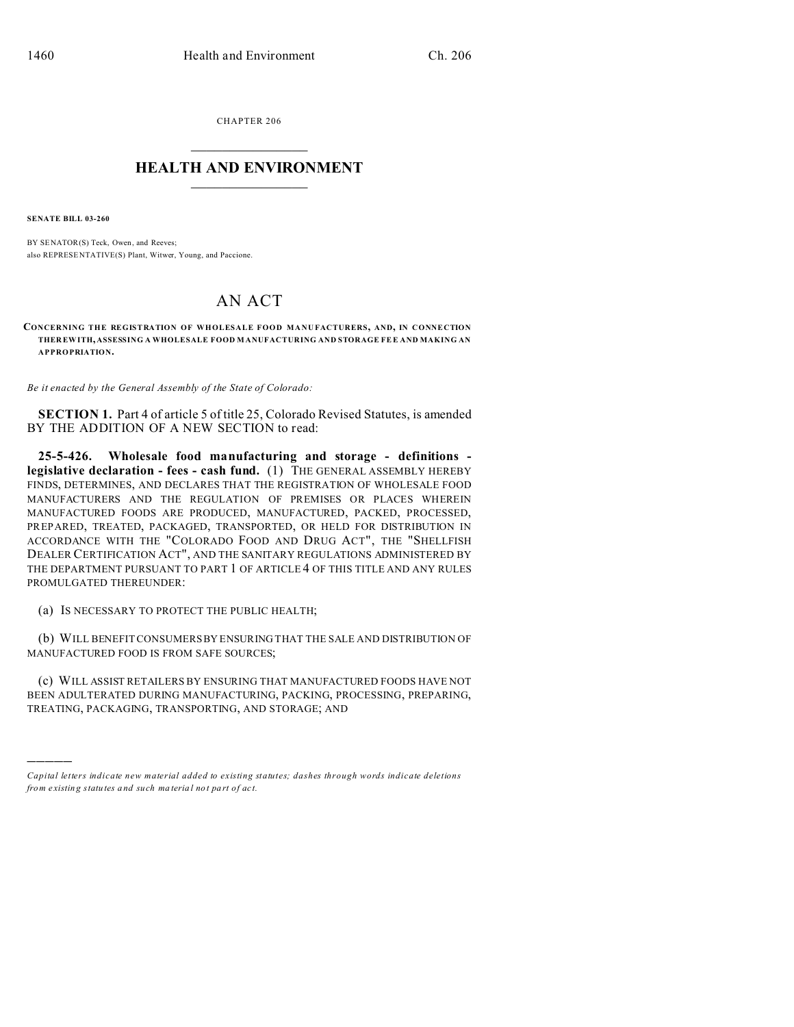CHAPTER 206  $\overline{\phantom{a}}$  , where  $\overline{\phantom{a}}$ 

## **HEALTH AND ENVIRONMENT**  $\_$   $\_$   $\_$   $\_$   $\_$   $\_$   $\_$   $\_$

**SENATE BILL 03-260**

)))))

BY SENATOR(S) Teck, Owen, and Reeves; also REPRESE NTATIVE(S) Plant, Witwer, Young, and Paccione.

## AN ACT

**CONCERNING THE REGISTRATION OF WHOLESALE FOOD MANU FACTURERS, AND, IN CONNECTION THER EWITH, ASSESSING A WHOLESALE FOOD M ANUFACTURING AND STORAGE FE E AND MAKING AN APPROPRIATION.**

*Be it enacted by the General Assembly of the State of Colorado:*

**SECTION 1.** Part 4 of article 5 of title 25, Colorado Revised Statutes, is amended BY THE ADDITION OF A NEW SECTION to read:

**25-5-426. Wholesale food manufacturing and storage - definitions legislative declaration - fees - cash fund.** (1) THE GENERAL ASSEMBLY HEREBY FINDS, DETERMINES, AND DECLARES THAT THE REGISTRATION OF WHOLESALE FOOD MANUFACTURERS AND THE REGULATION OF PREMISES OR PLACES WHEREIN MANUFACTURED FOODS ARE PRODUCED, MANUFACTURED, PACKED, PROCESSED, PREPARED, TREATED, PACKAGED, TRANSPORTED, OR HELD FOR DISTRIBUTION IN ACCORDANCE WITH THE "COLORADO FOOD AND DRUG ACT", THE "SHELLFISH DEALER CERTIFICATION ACT", AND THE SANITARY REGULATIONS ADMINISTERED BY THE DEPARTMENT PURSUANT TO PART 1 OF ARTICLE 4 OF THIS TITLE AND ANY RULES PROMULGATED THEREUNDER:

(a) IS NECESSARY TO PROTECT THE PUBLIC HEALTH;

(b) WILL BENEFIT CONSUMERS BY ENSURING THAT THE SALE AND DISTRIBUTION OF MANUFACTURED FOOD IS FROM SAFE SOURCES;

(c) WILL ASSIST RETAILERS BY ENSURING THAT MANUFACTURED FOODS HAVE NOT BEEN ADULTERATED DURING MANUFACTURING, PACKING, PROCESSING, PREPARING, TREATING, PACKAGING, TRANSPORTING, AND STORAGE; AND

*Capital letters indicate new material added to existing statutes; dashes through words indicate deletions from e xistin g statu tes a nd such ma teria l no t pa rt of ac t.*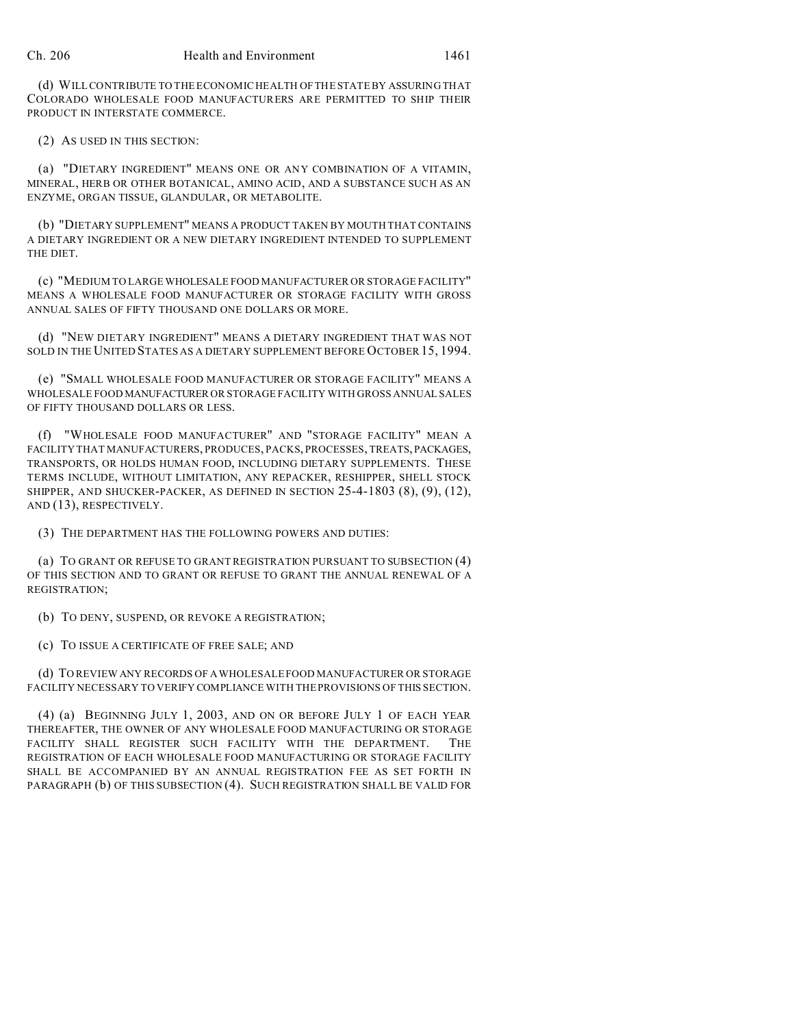(d) WILL CONTRIBUTE TO THE ECONOMIC HEALTH OF THE STATE BY ASSURING THAT COLORADO WHOLESALE FOOD MANUFACTURERS ARE PERMITTED TO SHIP THEIR PRODUCT IN INTERSTATE COMMERCE.

(2) AS USED IN THIS SECTION:

(a) "DIETARY INGREDIENT" MEANS ONE OR ANY COMBINATION OF A VITAMIN, MINERAL, HERB OR OTHER BOTANICAL, AMINO ACID, AND A SUBSTANCE SUCH AS AN ENZYME, ORGAN TISSUE, GLANDULAR, OR METABOLITE.

(b) "DIETARY SUPPLEMENT" MEANS A PRODUCT TAKEN BY MOUTH THAT CONTAINS A DIETARY INGREDIENT OR A NEW DIETARY INGREDIENT INTENDED TO SUPPLEMENT THE DIET.

(c) "MEDIUM TO LARGE WHOLESALE FOOD MANUFACTURER OR STORAGE FACILITY" MEANS A WHOLESALE FOOD MANUFACTURER OR STORAGE FACILITY WITH GROSS ANNUAL SALES OF FIFTY THOUSAND ONE DOLLARS OR MORE.

(d) "NEW DIETARY INGREDIENT" MEANS A DIETARY INGREDIENT THAT WAS NOT SOLD IN THE UNITED STATES AS A DIETARY SUPPLEMENT BEFORE OCTOBER 15, 1994.

(e) "SMALL WHOLESALE FOOD MANUFACTURER OR STORAGE FACILITY" MEANS A WHOLESALE FOOD MANUFACTURER OR STORAGE FACILITY WITH GROSS ANNUAL SALES OF FIFTY THOUSAND DOLLARS OR LESS.

(f) "WHOLESALE FOOD MANUFACTURER" AND "STORAGE FACILITY" MEAN A FACILITY THAT MANUFACTURERS, PRODUCES, PACKS, PROCESSES, TREATS, PACKAGES, TRANSPORTS, OR HOLDS HUMAN FOOD, INCLUDING DIETARY SUPPLEMENTS. THESE TERMS INCLUDE, WITHOUT LIMITATION, ANY REPACKER, RESHIPPER, SHELL STOCK SHIPPER, AND SHUCKER-PACKER, AS DEFINED IN SECTION 25-4-1803 (8), (9), (12), AND (13), RESPECTIVELY.

(3) THE DEPARTMENT HAS THE FOLLOWING POWERS AND DUTIES:

(a) TO GRANT OR REFUSE TO GRANT REGISTRATION PURSUANT TO SUBSECTION (4) OF THIS SECTION AND TO GRANT OR REFUSE TO GRANT THE ANNUAL RENEWAL OF A REGISTRATION;

(b) TO DENY, SUSPEND, OR REVOKE A REGISTRATION;

(c) TO ISSUE A CERTIFICATE OF FREE SALE; AND

(d) TO REVIEW ANY RECORDS OF A WHOLESALE FOOD MANUFACTURER OR STORAGE FACILITY NECESSARY TO VERIFY COMPLIANCE WITH THE PROVISIONS OF THIS SECTION.

(4) (a) BEGINNING JULY 1, 2003, AND ON OR BEFORE JULY 1 OF EACH YEAR THEREAFTER, THE OWNER OF ANY WHOLESALE FOOD MANUFACTURING OR STORAGE FACILITY SHALL REGISTER SUCH FACILITY WITH THE DEPARTMENT. THE REGISTRATION OF EACH WHOLESALE FOOD MANUFACTURING OR STORAGE FACILITY SHALL BE ACCOMPANIED BY AN ANNUAL REGISTRATION FEE AS SET FORTH IN PARAGRAPH (b) OF THIS SUBSECTION (4). SUCH REGISTRATION SHALL BE VALID FOR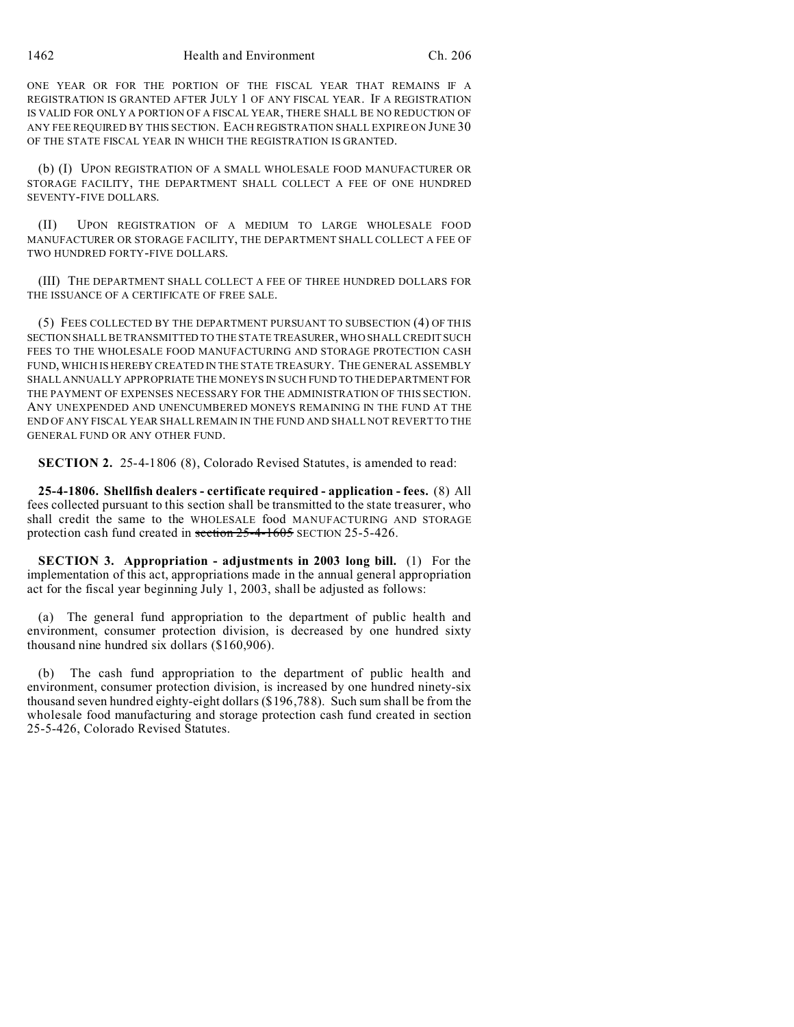ONE YEAR OR FOR THE PORTION OF THE FISCAL YEAR THAT REMAINS IF A REGISTRATION IS GRANTED AFTER JULY 1 OF ANY FISCAL YEAR. IF A REGISTRATION IS VALID FOR ONLY A PORTION OF A FISCAL YEAR, THERE SHALL BE NO REDUCTION OF ANY FEE REQUIRED BY THIS SECTION. EACH REGISTRATION SHALL EXPIRE ON JUNE 30 OF THE STATE FISCAL YEAR IN WHICH THE REGISTRATION IS GRANTED.

(b) (I) UPON REGISTRATION OF A SMALL WHOLESALE FOOD MANUFACTURER OR STORAGE FACILITY, THE DEPARTMENT SHALL COLLECT A FEE OF ONE HUNDRED SEVENTY-FIVE DOLLARS.

(II) UPON REGISTRATION OF A MEDIUM TO LARGE WHOLESALE FOOD MANUFACTURER OR STORAGE FACILITY, THE DEPARTMENT SHALL COLLECT A FEE OF TWO HUNDRED FORTY-FIVE DOLLARS.

(III) THE DEPARTMENT SHALL COLLECT A FEE OF THREE HUNDRED DOLLARS FOR THE ISSUANCE OF A CERTIFICATE OF FREE SALE.

(5) FEES COLLECTED BY THE DEPARTMENT PURSUANT TO SUBSECTION (4) OF THIS SECTION SHALL BE TRANSMITTED TO THE STATE TREASURER, WHO SHALL CREDIT SUCH FEES TO THE WHOLESALE FOOD MANUFACTURING AND STORAGE PROTECTION CASH FUND, WHICH IS HEREBY CREATED IN THE STATE TREASURY. THE GENERAL ASSEMBLY SHALL ANNUALLY APPROPRIATE THE MONEYS IN SUCH FUND TO THE DEPARTMENT FOR THE PAYMENT OF EXPENSES NECESSARY FOR THE ADMINISTRATION OF THIS SECTION. ANY UNEXPENDED AND UNENCUMBERED MONEYS REMAINING IN THE FUND AT THE END OF ANY FISCAL YEAR SHALL REMAIN IN THE FUND AND SHALL NOT REVERT TO THE GENERAL FUND OR ANY OTHER FUND.

**SECTION 2.** 25-4-1806 (8), Colorado Revised Statutes, is amended to read:

**25-4-1806. Shellfish dealers - certificate required - application - fees.** (8) All fees collected pursuant to this section shall be transmitted to the state treasurer, who shall credit the same to the WHOLESALE food MANUFACTURING AND STORAGE protection cash fund created in section 25-4-1605 SECTION 25-5-426.

**SECTION 3. Appropriation - adjustments in 2003 long bill.** (1) For the implementation of this act, appropriations made in the annual general appropriation act for the fiscal year beginning July 1, 2003, shall be adjusted as follows:

(a) The general fund appropriation to the department of public health and environment, consumer protection division, is decreased by one hundred sixty thousand nine hundred six dollars (\$160,906).

The cash fund appropriation to the department of public health and environment, consumer protection division, is increased by one hundred ninety-six thousand seven hundred eighty-eight dollars (\$196,788). Such sum shall be from the wholesale food manufacturing and storage protection cash fund created in section 25-5-426, Colorado Revised Statutes.